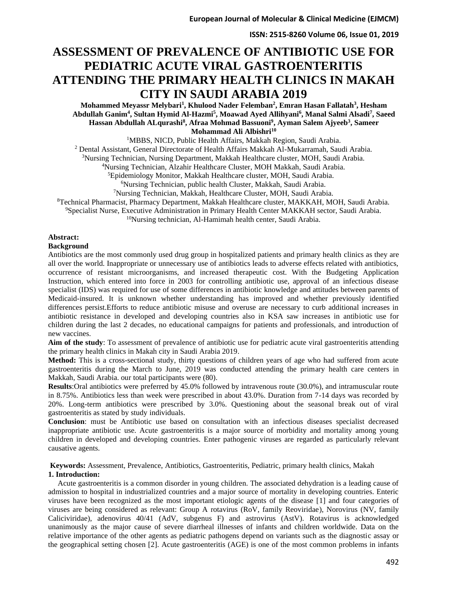# **ASSESSMENT OF PREVALENCE OF ANTIBIOTIC USE FOR PEDIATRIC ACUTE VIRAL GASTROENTERITIS ATTENDING THE PRIMARY HEALTH CLINICS IN MAKAH CITY IN SAUDI ARABIA 2019**

**Mohammed Meyassr Melybari<sup>1</sup> , Khulood Nader Felemban<sup>2</sup> , Emran Hasan Fallatah<sup>3</sup> , Hesham Abdullah Ganim<sup>4</sup> , Sultan Hymid Al-Hazmi<sup>5</sup> , Moawad Ayed Allihyani<sup>6</sup> , Manal Salmi Alsadi<sup>7</sup> , Saeed Hassan Abdullah ALqurashi<sup>8</sup> , Afraa Mohmad Bassuoni<sup>9</sup> , Ayman Salem Ajyeeb<sup>3</sup> , Sameer Mohammad Ali Albishri<sup>10</sup>**

<sup>1</sup>MBBS, NICD, Public Health Affairs, Makkah Region, Saudi Arabia.

<sup>2</sup> Dental Assistant, General Directorate of Health Affairs Makkah Al-Mukarramah, Saudi Arabia.

<sup>3</sup>Nursing Technician, Nursing Department, Makkah Healthcare cluster, MOH, Saudi Arabia.

<sup>4</sup>Nursing Technician, Alzahir Healthcare Cluster, MOH Makkah, Saudi Arabia.

<sup>5</sup>Epidemiology Monitor, Makkah Healthcare cluster, MOH, Saudi Arabia.

<sup>6</sup>Nursing Technician, public health Cluster, Makkah, Saudi Arabia.

<sup>7</sup>Nursing Technician, Makkah, Healthcare Cluster, MOH, Saudi Arabia.

<sup>8</sup>Technical Pharmacist, Pharmacy Department, Makkah Healthcare cluster, MAKKAH, MOH, Saudi Arabia.

<sup>9</sup>Specialist Nurse, Executive Administration in Primary Health Center MAKKAH sector, Saudi Arabia.

<sup>10</sup>Nursing technician, Al-Hamimah health center, Saudi Arabia.

#### **Abstract:**

#### **Background**

Antibiotics are the most commonly used drug group in hospitalized patients and primary health clinics as they are all over the world. Inappropriate or unnecessary use of antibiotics leads to adverse effects related with antibiotics, occurrence of resistant microorganisms, and increased therapeutic cost. With the Budgeting Application Instruction, which entered into force in 2003 for controlling antibiotic use, approval of an infectious disease specialist (IDS) was required for use of some differences in antibiotic knowledge and attitudes between parents of Medicaid-insured. It is unknown whether understanding has improved and whether previously identified differences persist.Efforts to reduce antibiotic misuse and overuse are necessary to curb additional increases in antibiotic resistance in developed and developing countries also in KSA saw increases in antibiotic use for children during the last 2 decades, no educational campaigns for patients and professionals, and introduction of new vaccines.

**Aim of the study**: To assessment of prevalence of antibiotic use for pediatric acute viral gastroenteritis attending the primary health clinics in Makah city in Saudi Arabia 2019.

**Method:** This is a cross-sectional study, thirty questions of children years of age who had suffered from acute gastroenteritis during the March to June, 2019 was conducted attending the primary health care centers in Makkah, Saudi Arabia. our total participants were (80).

**Results**:Oral antibiotics were preferred by 45.0% followed by intravenous route (30.0%), and intramuscular route in 8.75%. Antibiotics less than week were prescribed in about 43.0%. Duration from 7-14 days was recorded by 20%. Long-term antibiotics were prescribed by 3.0%. Questioning about the seasonal break out of viral gastroenteritis as stated by study individuals.

**Conclusion**: must be Antibiotic use based on consultation with an infectious diseases specialist decreased inappropriate antibiotic use. Acute gastroenteritis is a major source of morbidity and mortality among young children in developed and developing countries. Enter pathogenic viruses are regarded as particularly relevant causative agents.

**Keywords:** Assessment, Prevalence, Antibiotics, Gastroenteritis, Pediatric, primary health clinics, Makah **1. Introduction:**

 Acute gastroenteritis is a common disorder in young children. The associated dehydration is a leading cause of admission to hospital in industrialized countries and a major source of mortality in developing countries. Enteric viruses have been recognized as the most important etiologic agents of the disease [1] and four categories of viruses are being considered as relevant: Group A rotavirus (RoV, family Reoviridae), Norovirus (NV, family Caliciviridae), adenovirus 40/41 (AdV, subgenus F) and astrovirus (AstV). Rotavirus is acknowledged unanimously as the major cause of severe diarrheal illnesses of infants and children worldwide. Data on the relative importance of the other agents as pediatric pathogens depend on variants such as the diagnostic assay or the geographical setting chosen [2]. Acute gastroenteritis (AGE) is one of the most common problems in infants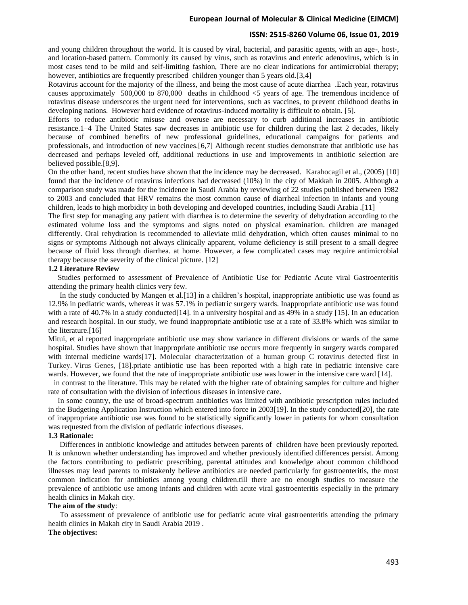#### **ISSN: 2515-8260 Volume 06, Issue 01, 2019**

and young children throughout the world. It is caused by viral, bacterial, and parasitic agents, with an age-, host-, and location-based pattern. Commonly its caused by virus, such as rotavirus and enteric adenovirus, which is in most cases tend to be mild and self-limiting fashion, There are no clear indications for antimicrobial therapy; however, antibiotics are frequently prescribed children younger than 5 years old.[3,4]

Rotavirus account for the majority of the illness, and being the most cause of acute diarrhea .Each year, rotavirus causes approximately 500,000 to 870,000 deaths in childhood <5 years of age. The tremendous incidence of rotavirus disease underscores the urgent need for interventions, such as vaccines, to prevent childhood deaths in developing nations. However hard evidence of rotavirus-induced mortality is difficult to obtain. [5].

Efforts to reduce antibiotic misuse and overuse are necessary to curb additional increases in antibiotic resistance.1–4 The United States saw decreases in antibiotic use for children during the last 2 decades, likely because of combined benefits of new professional guidelines, educational campaigns for patients and professionals, and introduction of new vaccines.[6,7] Although recent studies demonstrate that antibiotic use has decreased and perhaps leveled off, additional reductions in use and improvements in antibiotic selection are believed possible.[8,9].

On the other hand, recent studies have shown that the incidence may be decreased. Karahocagil et al., (2005) [10] found that the incidence of rotavirus infections had decreased (10%) in the city of Makkah in 2005. Although a comparison study was made for the incidence in Saudi Arabia by reviewing of 22 studies published between 1982 to 2003 and concluded that HRV remains the most common cause of diarrheal infection in infants and young children, leads to high morbidity in both developing and developed countries, including Saudi Arabia .[11]

The first step for managing any patient with diarrhea is to determine the severity of dehydration according to the estimated volume loss and the symptoms and signs noted on physical examination. children are managed differently. Oral rehydration is recommended to alleviate mild dehydration, which often causes minimal to no signs or symptoms Although not always clinically apparent, volume deficiency is still present to a small degree because of fluid loss through diarrhea. at home. However, a few complicated cases may require antimicrobial therapy because the severity of the clinical picture. [12]

#### **1.2 Literature Review**

 Studies performed to assessment of Prevalence of Antibiotic Use for Pediatric Acute viral Gastroenteritis attending the primary health clinics very few.

 In the study conducted by Mangen et al.[13] in a children's hospital, inappropriate antibiotic use was found as 12.9% in pediatric wards, whereas it was 57.1% in pediatric surgery wards. Inappropriate antibiotic use was found with a rate of 40.7% in a study conducted  $[14]$ . in a university hospital and as 49% in a study  $[15]$ . In an education and research hospital. In our study, we found inappropriate antibiotic use at a rate of 33.8% which was similar to the literature.[16]

Mitui, et al reported inappropriate antibiotic use may show variance in different divisions or wards of the same hospital. Studies have shown that inappropriate antibiotic use occurs more frequently in surgery wards compared with internal medicine wards<sup>[17]</sup>. Molecular characterization of a human group C rotavirus detected first in Turkey. Virus Genes, [18].priate antibiotic use has been reported with a high rate in pediatric intensive care wards. However, we found that the rate of inappropriate antibiotic use was lower in the intensive care ward [14].

 in contrast to the literature. This may be related with the higher rate of obtaining samples for culture and higher rate of consultation with the division of infectious diseases in intensive care.

 In some country, the use of broad-spectrum antibiotics was limited with antibiotic prescription rules included in the Budgeting Application Instruction which entered into force in 2003[19]. In the study conducted[20], the rate of inappropriate antibiotic use was found to be statistically significantly lower in patients for whom consultation was requested from the division of pediatric infectious diseases.

#### **1.3 Rationale :**

 Differences in antibiotic knowledge and attitudes between parents of children have been previously reported. It is unknown whether understanding has improved and whether previously identified differences persist. Among the factors contributing to pediatric prescribing, parental attitudes and knowledge about common childhood illnesses may lead parents to mistakenly believe antibiotics are needed particularly for gastroenteritis, the most common indication for antibiotics among young children.till there are no enough studies to measure the prevalence of antibiotic use among infants and children with acute viral gastroenteritis especially in the primary health clinics in Makah city.

#### **The aim of the study**:

 To assessment of prevalence of antibiotic use for pediatric acute viral gastroenteritis attending the primary health clinics in Makah city in Saudi Arabia 2019 .

## **The objectives:**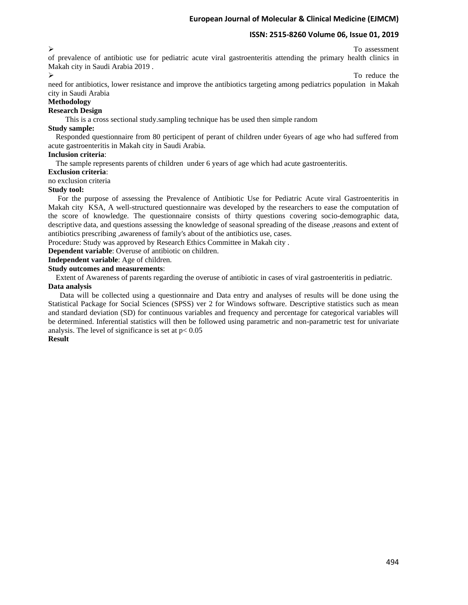#### $\triangleright$  To assessment

of prevalence of antibiotic use for pediatric acute viral gastroenteritis attending the primary health clinics in Makah city in Saudi Arabia 2019 .

#### To reduce the

need for antibiotics, lower resistance and improve the antibiotics targeting among pediatrics population in Makah city in Saudi Arabia

#### **Methodology**

# **Research Design**

This is a cross sectional study.sampling technique has be used then simple random

#### **Study sample:**

 Responded questionnaire from 80 perticipent of perant of children under 6years of age who had suffered from acute gastroenteritis in Makah city in Saudi Arabia.

## **Inclusion criteria**:

The sample represents parents of children under 6 years of age which had acute gastroenteritis.

**Exclusion criteria**:

no exclusion criteria

#### **Study tool:**

 For the purpose of assessing the Prevalence of Antibiotic Use for Pediatric Acute viral Gastroenteritis in Makah city KSA, A well-structured questionnaire was developed by the researchers to ease the computation of the score of knowledge. The questionnaire consists of thirty questions covering socio-demographic data, descriptive data, and questions assessing the knowledge of seasonal spreading of the disease ,reasons and extent of antibiotics prescribing ,awareness of family's about of the antibiotics use, cases.

Procedure: Study was approved by Research Ethics Committee in Makah city .

**Dependent variable**: Overuse of antibiotic on children.

**Independent variable**: Age of children.

**Study outcomes and measurements**:

 Extent of Awareness of parents regarding the overuse of antibiotic in cases of viral gastroenteritis in pediatric. **Data analysis**

 Data will be collected using a questionnaire and Data entry and analyses of results will be done using the Statistical Package for Social Sciences (SPSS) ver 2 for Windows software. Descriptive statistics such as mean and standard deviation (SD) for continuous variables and frequency and percentage for categorical variables will be determined. Inferential statistics will then be followed using parametric and non-parametric test for univariate analysis. The level of significance is set at  $p < 0.05$ 

## **Result**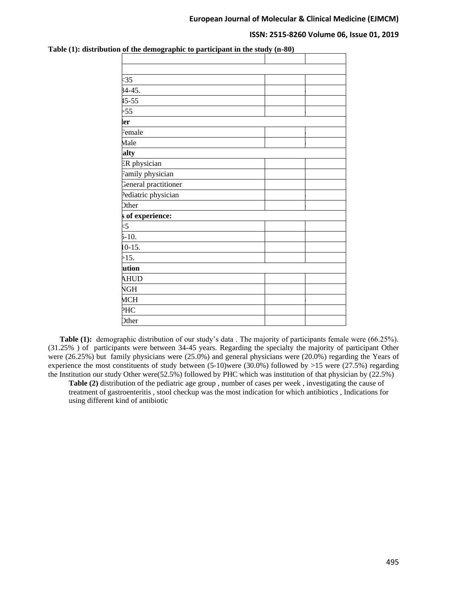#### **ISSN: 2515-8260 Volume 06, Issue 01, 2019**

| <35                  |  |  |
|----------------------|--|--|
| $34 - 45.$           |  |  |
| $15 - 55$            |  |  |
| $>55$                |  |  |
| ler                  |  |  |
| Female               |  |  |
| Male                 |  |  |
| ialty                |  |  |
| ER physician         |  |  |
| Family physician     |  |  |
| General practitioner |  |  |
| Pediatric physician  |  |  |
| Other                |  |  |
| s of experience:     |  |  |
| $\leq$               |  |  |
| $5-10.$              |  |  |
| $10-15.$             |  |  |
| >15.                 |  |  |
| ution                |  |  |
| <b>AHUD</b>          |  |  |
| <b>NGH</b>           |  |  |
| <b>MCH</b>           |  |  |
| PHC                  |  |  |
| Other                |  |  |

**Table (1): distribution of the demographic to participant in the study (n-80)**

 **Table (1):** demographic distribution of our study's data . The majority of participants female were (66.25%). (31.25% ) of participants were between 34-45 years. Regarding the specialty the majority of participant Other were (26.25%) but family physicians were (25.0%) and general physicians were (20.0%) regarding the Years of experience the most constituents of study between (5-10)were (30.0%) followed by >15 were (27.5%) regarding the Institution our study Other were(52.5%) followed by PHC which was institution of that physician by (22.5%)

**Table (2)** distribution of the pediatric age group , number of cases per week , investigating the cause of treatment of gastroenteritis , stool checkup was the most indication for which antibiotics , Indications for using different kind of antibiotic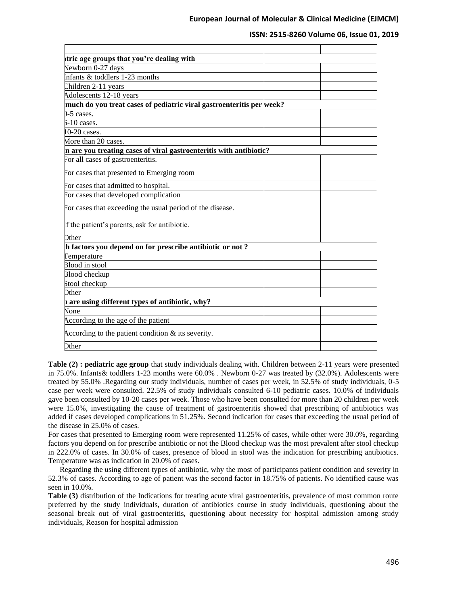| tric age groups that you're dealing with                             |  |
|----------------------------------------------------------------------|--|
| Newborn 0-27 days                                                    |  |
| Infants $&$ toddlers 1-23 months                                     |  |
| Children 2-11 years                                                  |  |
| Adolescents 12-18 years                                              |  |
| much do you treat cases of pediatric viral gastroenteritis per week? |  |
| $-5$ cases.                                                          |  |
| $5-10$ cases.                                                        |  |
| $0-20$ cases.                                                        |  |
| More than 20 cases.                                                  |  |
| n are you treating cases of viral gastroenteritis with antibiotic?   |  |
| For all cases of gastroenteritis.                                    |  |
| For cases that presented to Emerging room                            |  |
| For cases that admitted to hospital.                                 |  |
| For cases that developed complication                                |  |
| For cases that exceeding the usual period of the disease.            |  |
| If the patient's parents, ask for antibiotic.                        |  |
| <b>Other</b>                                                         |  |
| h factors you depend on for prescribe antibiotic or not?             |  |
| Temperature                                                          |  |
| Blood in stool                                                       |  |
| Blood checkup                                                        |  |
| Stool checkup                                                        |  |
| <b>Other</b>                                                         |  |
| a are using different types of antibiotic, why?                      |  |
| None                                                                 |  |
| According to the age of the patient                                  |  |
| According to the patient condition $\&$ its severity.                |  |
| <b>Other</b>                                                         |  |
|                                                                      |  |

**Table (2) : pediatric age group** that study individuals dealing with. Children between 2-11 years were presented in 75.0%. Infants& toddlers 1-23 months were 60.0% . Newborn 0-27 was treated by (32.0%). Adolescents were treated by 55.0% .Regarding our study individuals, number of cases per week, in 52.5% of study individuals, 0-5 case per week were consulted. 22.5% of study individuals consulted 6-10 pediatric cases. 10.0% of individuals gave been consulted by 10-20 cases per week. Those who have been consulted for more than 20 children per week were 15.0%, investigating the cause of treatment of gastroenteritis showed that prescribing of antibiotics was added if cases developed complications in 51.25%. Second indication for cases that exceeding the usual period of the disease in 25.0% of cases.

For cases that presented to Emerging room were represented 11.25% of cases, while other were 30.0%, regarding factors you depend on for prescribe antibiotic or not the Blood checkup was the most prevalent after stool checkup in 222.0% of cases. In 30.0% of cases, presence of blood in stool was the indication for prescribing antibiotics. Temperature was as indication in 20.0% of cases.

 Regarding the using different types of antibiotic, why the most of participants patient condition and severity in 52.3% of cases. According to age of patient was the second factor in 18.75% of patients. No identified cause was seen in 10.0%.

**Table (3)** distribution of the Indications for treating acute viral gastroenteritis, prevalence of most common route preferred by the study individuals, duration of antibiotics course in study individuals, questioning about the seasonal break out of viral gastroenteritis, questioning about necessity for hospital admission among study individuals, Reason for hospital admission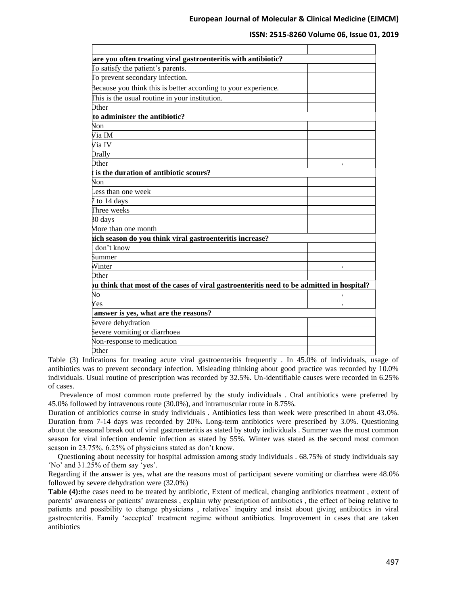| are you often treating viral gastroenteritis with antibiotic?                             |  |  |
|-------------------------------------------------------------------------------------------|--|--|
| To satisfy the patient's parents.                                                         |  |  |
| To prevent secondary infection.                                                           |  |  |
| Because you think this is better according to your experience.                            |  |  |
| This is the usual routine in your institution.                                            |  |  |
| <b>Other</b>                                                                              |  |  |
| to administer the antibiotic?                                                             |  |  |
| Non                                                                                       |  |  |
| Via IM                                                                                    |  |  |
| Via IV                                                                                    |  |  |
| Orally                                                                                    |  |  |
| <b>Other</b>                                                                              |  |  |
| is the duration of antibiotic scours?                                                     |  |  |
| Non                                                                                       |  |  |
| ess than one week.                                                                        |  |  |
| 7 to 14 days                                                                              |  |  |
| Three weeks                                                                               |  |  |
| 30 days                                                                                   |  |  |
| More than one month                                                                       |  |  |
| ich season do you think viral gastroenteritis increase?                                   |  |  |
| don't know                                                                                |  |  |
| Summer                                                                                    |  |  |
| Winter                                                                                    |  |  |
| Other                                                                                     |  |  |
| bu think that most of the cases of viral gastroenteritis need to be admitted in hospital? |  |  |
| Ńо                                                                                        |  |  |
| Yes                                                                                       |  |  |
| answer is yes, what are the reasons?                                                      |  |  |
| Severe dehydration                                                                        |  |  |
| Severe vomiting or diarrhoea                                                              |  |  |
| Von-response to medication                                                                |  |  |
| Other                                                                                     |  |  |

Table (3) Indications for treating acute viral gastroenteritis frequently . In 45.0% of individuals, usage of antibiotics was to prevent secondary infection. Misleading thinking about good practice was recorded by 10.0% individuals. Usual routine of prescription was recorded by 32.5%. Un-identifiable causes were recorded in 6.25% of cases.

 Prevalence of most common route preferred by the study individuals . Oral antibiotics were preferred by 45.0% followed by intravenous route (30.0%), and intramuscular route in 8.75%.

Duration of antibiotics course in study individuals . Antibiotics less than week were prescribed in about 43.0%. Duration from 7-14 days was recorded by 20%. Long-term antibiotics were prescribed by 3.0%. Questioning about the seasonal break out of viral gastroenteritis as stated by study individuals . Summer was the most common season for viral infection endemic infection as stated by 55%. Winter was stated as the second most common season in 23.75%. 6.25% of physicians stated as don't know.

 Questioning about necessity for hospital admission among study individuals . 68.75% of study individuals say 'No' and 31.25% of them say 'yes'.

Regarding if the answer is yes, what are the reasons most of participant severe vomiting or diarrhea were 48.0% followed by severe dehydration were (32.0%)

Table (4): the cases need to be treated by antibiotic, Extent of medical, changing antibiotics treatment, extent of parents' awareness or patients' awareness , explain why prescription of antibiotics , the effect of being relative to patients and possibility to change physicians , relatives' inquiry and insist about giving antibiotics in viral gastroenteritis. Family 'accepted' treatment regime without antibiotics. Improvement in cases that are taken antibiotics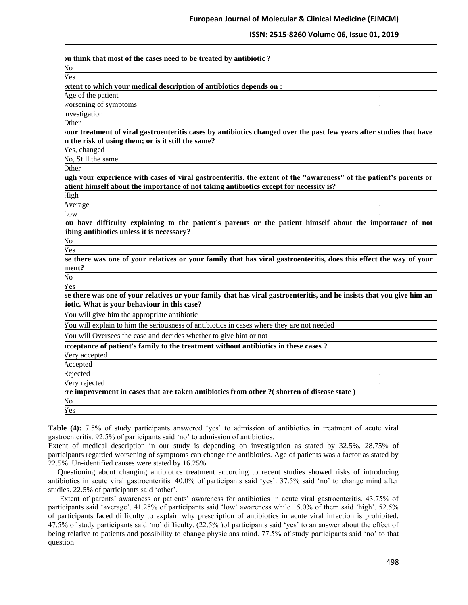## **ISSN: 2515-8260 Volume 06, Issue 01, 2019**

| ou think that most of the cases need to be treated by antibiotic ?                                                                                                                                           |  |
|--------------------------------------------------------------------------------------------------------------------------------------------------------------------------------------------------------------|--|
| $\sqrt{6}$                                                                                                                                                                                                   |  |
| Yes                                                                                                                                                                                                          |  |
| xtent to which your medical description of antibiotics depends on :                                                                                                                                          |  |
| Age of the patient                                                                                                                                                                                           |  |
| worsening of symptoms                                                                                                                                                                                        |  |
| nvestigation                                                                                                                                                                                                 |  |
| <b>Other</b>                                                                                                                                                                                                 |  |
| your treatment of viral gastroenteritis cases by antibiotics changed over the past few years after studies that have<br>n the risk of using them; or is it still the same?                                   |  |
| Yes, changed                                                                                                                                                                                                 |  |
| No, Still the same                                                                                                                                                                                           |  |
| <b>Other</b>                                                                                                                                                                                                 |  |
| ugh your experience with cases of viral gastroenteritis, the extent of the "awareness" of the patient's parents or<br>atient himself about the importance of not taking antibiotics except for necessity is? |  |
| High                                                                                                                                                                                                         |  |
| Average                                                                                                                                                                                                      |  |
| .ow                                                                                                                                                                                                          |  |
| ou have difficulty explaining to the patient's parents or the patient himself about the importance of not<br>ibing antibiotics unless it is necessary?                                                       |  |
| $\overline{N}$                                                                                                                                                                                               |  |
| Yes                                                                                                                                                                                                          |  |
| se there was one of your relatives or your family that has viral gastroenteritis, does this effect the way of your<br>ment?                                                                                  |  |
| $\overline{N}$                                                                                                                                                                                               |  |
| Yes                                                                                                                                                                                                          |  |
| se there was one of your relatives or your family that has viral gastroenteritis, and he insists that you give him an<br>iotic. What is your behaviour in this case?                                         |  |
| You will give him the appropriate antibiotic                                                                                                                                                                 |  |
| You will explain to him the seriousness of antibiotics in cases where they are not needed                                                                                                                    |  |
| You will Oversees the case and decides whether to give him or not                                                                                                                                            |  |
| cceptance of patient's family to the treatment without antibiotics in these cases?                                                                                                                           |  |
| Very accepted                                                                                                                                                                                                |  |
| Accepted                                                                                                                                                                                                     |  |
| Rejected                                                                                                                                                                                                     |  |
| Very rejected                                                                                                                                                                                                |  |
| re improvement in cases that are taken antibiotics from other ?(shorten of disease state)                                                                                                                    |  |
| $\sqrt{0}$                                                                                                                                                                                                   |  |
| Yes                                                                                                                                                                                                          |  |
|                                                                                                                                                                                                              |  |

**Table (4):** 7.5% of study participants answered 'yes' to admission of antibiotics in treatment of acute viral gastroenteritis. 92.5% of participants said 'no' to admission of antibiotics.

Extent of medical description in our study is depending on investigation as stated by 32.5%. 28.75% of participants regarded worsening of symptoms can change the antibiotics. Age of patients was a factor as stated by 22.5%. Un-identified causes were stated by 16.25%.

 Questioning about changing antibiotics treatment according to recent studies showed risks of introducing antibiotics in acute viral gastroenteritis. 40.0% of participants said 'yes'. 37.5% said 'no' to change mind after studies. 22.5% of participants said 'other'.

 Extent of parents' awareness or patients' awareness for antibiotics in acute viral gastroenteritis. 43.75% of participants said 'average'. 41.25% of participants said 'low' awareness while 15.0% of them said 'high'. 52.5% of participants faced difficulty to explain why prescription of antibiotics in acute viral infection is prohibited. 47.5% of study participants said 'no' difficulty. (22.5% )of participants said 'yes' to an answer about the effect of being relative to patients and possibility to change physicians mind. 77.5% of study participants said 'no' to that question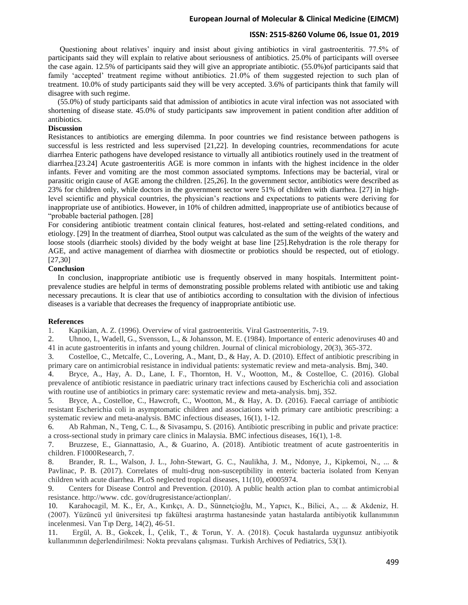## **ISSN: 2515-8260 Volume 06, Issue 01, 2019**

 Questioning about relatives' inquiry and insist about giving antibiotics in viral gastroenteritis. 77.5% of participants said they will explain to relative about seriousness of antibiotics. 25.0% of participants will oversee the case again. 12.5% of participants said they will give an appropriate antibiotic. (55.0%)of participants said that family 'accepted' treatment regime without antibiotics. 21.0% of them suggested rejection to such plan of treatment. 10.0% of study participants said they will be very accepted. 3.6% of participants think that family will disagree with such regime.

 (55.0%) of study participants said that admission of antibiotics in acute viral infection was not associated with shortening of disease state. 45.0% of study participants saw improvement in patient condition after addition of antibiotics.

## **Discussion**

Resistances to antibiotics are emerging dilemma. In poor countries we find resistance between pathogens is successful is less restricted and less supervised [21,22]. In developing countries, recommendations for acute diarrhea Enteric pathogens have developed resistance to virtually all antibiotics routinely used in the treatment of diarrhea.[23.24] Acute gastroenteritis AGE is more common in infants with the highest incidence in the older infants. Fever and vomiting are the most common associated symptoms. Infections may be bacterial, viral or parasitic origin cause of AGE among the children. [25,26]. In the government sector, antibiotics were described as 23% for children only, while doctors in the government sector were 51% of children with diarrhea. [27] in highlevel scientific and physical countries, the physician's reactions and expectations to patients were deriving for inappropriate use of antibiotics. However, in 10% of children admitted, inappropriate use of antibiotics because of "probable bacterial pathogen. [28]

For considering antibiotic treatment contain clinical features, host-related and setting-related conditions, and etiology. [29] In the treatment of diarrhea, Stool output was calculated as the sum of the weights of the watery and loose stools (diarrheic stools) divided by the body weight at base line [25].Rehydration is the role therapy for AGE, and active management of diarrhea with diosmectite or probiotics should be respected, out of etiology. [27,30]

#### **Conclusion**

 In conclusion, inappropriate antibiotic use is frequently observed in many hospitals. Intermittent pointprevalence studies are helpful in terms of demonstrating possible problems related with antibiotic use and taking necessary precautions. It is clear that use of antibiotics according to consultation with the division of infectious diseases is a variable that decreases the frequency of inappropriate antibiotic use.

## **References**

1. Kapikian, A. Z. (1996). Overview of viral gastroenteritis. Viral Gastroenteritis, 7-19.

2. Uhnoo, I., Wadell, G., Svensson, L., & Johansson, M. E. (1984). Importance of enteric adenoviruses 40 and 41 in acute gastroenteritis in infants and young children. Journal of clinical microbiology, 20(3), 365-372.

3. Costelloe, C., Metcalfe, C., Lovering, A., Mant, D., & Hay, A. D. (2010). Effect of antibiotic prescribing in primary care on antimicrobial resistance in individual patients: systematic review and meta-analysis. Bmj, 340.

4. Bryce, A., Hay, A. D., Lane, I. F., Thornton, H. V., Wootton, M., & Costelloe, C. (2016). Global prevalence of antibiotic resistance in paediatric urinary tract infections caused by Escherichia coli and association with routine use of antibiotics in primary care: systematic review and meta-analysis. bmj, 352.

5. Bryce, A., Costelloe, C., Hawcroft, C., Wootton, M., & Hay, A. D. (2016). Faecal carriage of antibiotic resistant Escherichia coli in asymptomatic children and associations with primary care antibiotic prescribing: a systematic review and meta-analysis. BMC infectious diseases, 16(1), 1-12.

6. Ab Rahman, N., Teng, C. L., & Sivasampu, S. (2016). Antibiotic prescribing in public and private practice: a cross-sectional study in primary care clinics in Malaysia. BMC infectious diseases, 16(1), 1-8.

7. Bruzzese, E., Giannattasio, A., & Guarino, A. (2018). Antibiotic treatment of acute gastroenteritis in children. F1000Research, 7.

8. Brander, R. L., Walson, J. L., John-Stewart, G. C., Naulikha, J. M., Ndonye, J., Kipkemoi, N., ... & Pavlinac, P. B. (2017). Correlates of multi-drug non-susceptibility in enteric bacteria isolated from Kenyan children with acute diarrhea. PLoS neglected tropical diseases, 11(10), e0005974.

9. Centers for Disease Control and Prevention. (2010). A public health action plan to combat antimicrobial resistance. http://www. cdc. gov/drugresistance/actionplan/.

10. Karahocagil, M. K., Er, A., Kırıkçı, A. D., Sünnetçioğlu, M., Yapıcı, K., Bilici, A., ... & Akdeniz, H. (2007). Yüzüncü yıl üniversitesi tıp fakültesi araştırma hastanesinde yatan hastalarda antibiyotik kullanımının incelenmesi. Van Tıp Derg, 14(2), 46-51.

11. Ergül, A. B., Gokcek, İ., Çelik, T., & Torun, Y. A. (2018). Çocuk hastalarda uygunsuz antibiyotik kullanımının değerlendirilmesi: Nokta prevalans çalışması. Turkish Archives of Pediatrics, 53(1).